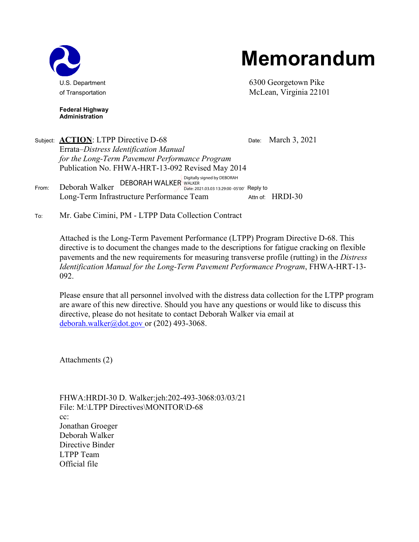

## **Memorandum**

U.S. Department **6300 Georgetown Pike** of Transportation McLean, Virginia 22101

**Federal Highway Administration**

Subject: **ACTION**: LTPP Directive D-68 Date: March 3, 2021 Errata*–Distress Identification Manual for the Long-Term Pavement Performance Program* Publication No. FHWA-HRT-13-092 Revised May 2014 From: Deborah Walker DEBORAH WALKER WALKER 2021.03.03 13:29:00 -05'00' Reply to Long-Term Infrastructure Performance Team Attn of: HRDI-30 Digitally signed by DEBORAH

To: Mr. Gabe Cimini, PM - LTPP Data Collection Contract

Attached is the Long-Term Pavement Performance (LTPP) Program Directive D-68. This directive is to document the changes made to the descriptions for fatigue cracking on flexible pavements and the new requirements for measuring transverse profile (rutting) in the *Distress Identification Manual for the Long-Term Pavement Performance Program*, FHWA-HRT-13- 092.

Please ensure that all personnel involved with the distress data collection for the LTPP program are aware of this new directive. Should you have any questions or would like to discuss this directive, please do not hesitate to contact Deborah Walker via email at [deborah.walker@dot.gov o](mailto:deborah.walker@dot.gov)r (202) 493-3068.

Attachments (2)

FHWA:HRDI-30 D. Walker:jeh:202-493-3068:03/03/21 File: M:\LTPP Directives\MONITOR\D-68 cc: Jonathan Groeger Deborah Walker Directive Binder LTPP Team Official file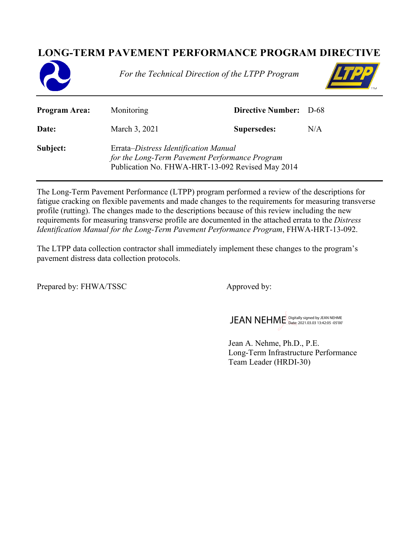## **LONG-TERM PAVEMENT PERFORMANCE PROGRAM DIRECTIVE**



*For the Technical Direction of the LTPP Program*



| <b>Program Area:</b> | Monitoring                                                                                                                                  | <b>Directive Number:</b> D-68 |     |
|----------------------|---------------------------------------------------------------------------------------------------------------------------------------------|-------------------------------|-----|
| Date:                | March 3, 2021                                                                                                                               | <b>Supersedes:</b>            | N/A |
| Subject:             | Errata–Distress Identification Manual<br>for the Long-Term Pavement Performance Program<br>Publication No. FHWA-HRT-13-092 Revised May 2014 |                               |     |

The Long-Term Pavement Performance (LTPP) program performed a review of the descriptions for fatigue cracking on flexible pavements and made changes to the requirements for measuring transverse profile (rutting). The changes made to the descriptions because of this review including the new requirements for measuring transverse profile are documented in the attached errata to the *Distress Identification Manual for the Long-Term Pavement Performance Program*, FHWA-HRT-13-092.

The LTPP data collection contractor shall immediately implement these changes to the program's pavement distress data collection protocols.

Prepared by: FHWA/TSSC Approved by:

JEAN NEHME Digitally signed by JEAN NEHME

Jean A. Nehme, Ph.D., P.E. Long-Term Infrastructure Performance Team Leader (HRDI-30)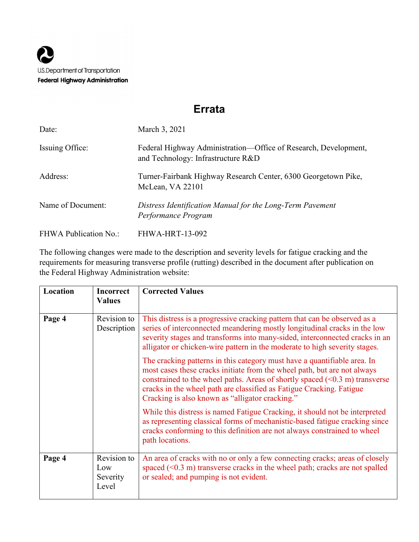## **Errata**

| Date:                        | March 3, 2021                                                                                         |
|------------------------------|-------------------------------------------------------------------------------------------------------|
| Issuing Office:              | Federal Highway Administration—Office of Research, Development,<br>and Technology: Infrastructure R&D |
| Address:                     | Turner-Fairbank Highway Research Center, 6300 Georgetown Pike,<br>McLean, VA 22101                    |
| Name of Document:            | Distress Identification Manual for the Long-Term Pavement<br>Performance Program                      |
| <b>FHWA Publication No.:</b> | <b>FHWA-HRT-13-092</b>                                                                                |

The following changes were made to the description and severity levels for fatigue cracking and the requirements for measuring transverse profile (rutting) described in the document after publication on the Federal Highway Administration website:

| Location | <b>Incorrect</b><br><b>Values</b>       | <b>Corrected Values</b>                                                                                                                                                                                                                                                                                                                                                      |
|----------|-----------------------------------------|------------------------------------------------------------------------------------------------------------------------------------------------------------------------------------------------------------------------------------------------------------------------------------------------------------------------------------------------------------------------------|
| Page 4   | Revision to<br>Description              | This distress is a progressive cracking pattern that can be observed as a<br>series of interconnected meandering mostly longitudinal cracks in the low<br>severity stages and transforms into many-sided, interconnected cracks in an<br>alligator or chicken-wire pattern in the moderate to high severity stages.                                                          |
|          |                                         | The cracking patterns in this category must have a quantifiable area. In<br>most cases these cracks initiate from the wheel path, but are not always<br>constrained to the wheel paths. Areas of shortly spaced $(\leq 0.3 \text{ m})$ transverse<br>cracks in the wheel path are classified as Fatigue Cracking. Fatigue<br>Cracking is also known as "alligator cracking." |
|          |                                         | While this distress is named Fatigue Cracking, it should not be interpreted<br>as representing classical forms of mechanistic-based fatigue cracking since<br>cracks conforming to this definition are not always constrained to wheel<br>path locations.                                                                                                                    |
| Page 4   | Revision to<br>Low<br>Severity<br>Level | An area of cracks with no or only a few connecting cracks; areas of closely<br>spaced $(0.3 \text{ m})$ transverse cracks in the wheel path; cracks are not spalled<br>or sealed; and pumping is not evident.                                                                                                                                                                |